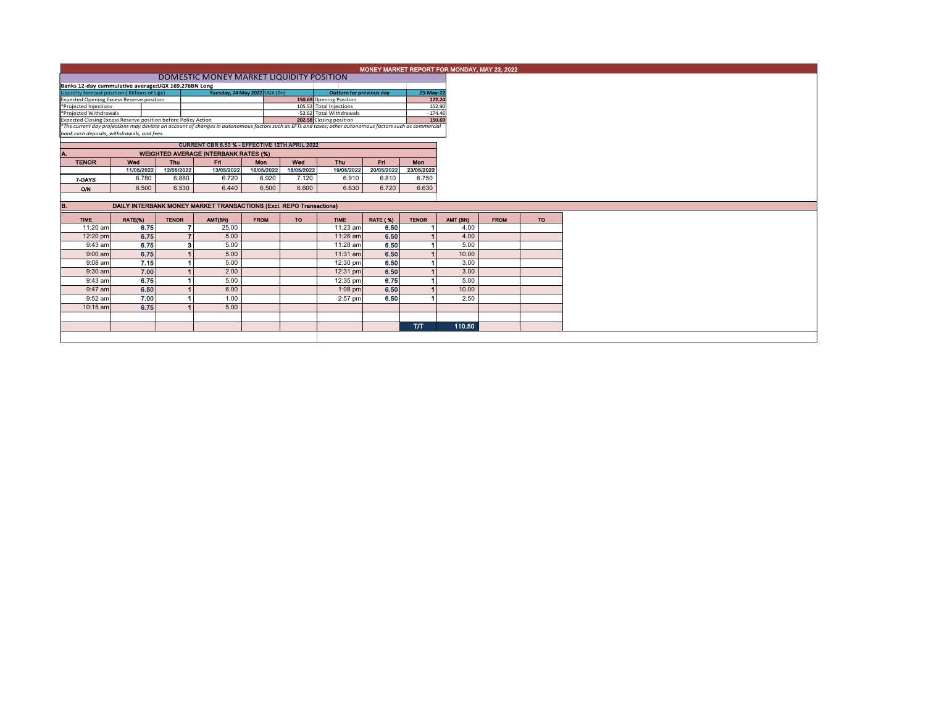| MONEY MARKET REPORT FOR MONDAY, MAY 23, 2022<br>DOMESTIC MONEY MARKET LIQUIDITY POSITION |                                                                     |              |                                                                                                                                                                                                                          |             |            |                                                     |                 |                  |                  |             |           |  |  |
|------------------------------------------------------------------------------------------|---------------------------------------------------------------------|--------------|--------------------------------------------------------------------------------------------------------------------------------------------------------------------------------------------------------------------------|-------------|------------|-----------------------------------------------------|-----------------|------------------|------------------|-------------|-----------|--|--|
|                                                                                          |                                                                     |              |                                                                                                                                                                                                                          |             |            |                                                     |                 |                  |                  |             |           |  |  |
| Banks 12-day cummulative average: UGX 169.276BN Long                                     |                                                                     |              |                                                                                                                                                                                                                          |             |            |                                                     |                 |                  |                  |             |           |  |  |
| Tuesday, 24 May 2022 UGX (Bn)<br>Liquidity forecast position (Billions of Ugx)           |                                                                     |              |                                                                                                                                                                                                                          |             |            | 23-May-22<br><b>Outturn for previous day</b>        |                 |                  |                  |             |           |  |  |
| <b>Expected Opening Excess Reserve position</b>                                          |                                                                     |              |                                                                                                                                                                                                                          |             |            | 150.69 Opening Position                             |                 | 172.24<br>152.90 |                  |             |           |  |  |
| *Projected Injections<br>*Projected Withdrawals                                          |                                                                     |              |                                                                                                                                                                                                                          |             |            | 105.52 Total Injections<br>-53.62 Total Withdrawals |                 |                  | $-174.46$        |             |           |  |  |
|                                                                                          |                                                                     |              | 150.69                                                                                                                                                                                                                   |             |            |                                                     |                 |                  |                  |             |           |  |  |
|                                                                                          |                                                                     |              | Expected Closing Excess Reserve position before Policy Action<br>The current day projections may deviate on account of changes in autonomous factors such as EFTs and taxes; other autonomous factors such as commercial |             |            |                                                     |                 |                  |                  |             |           |  |  |
| bank cash deposits, withdrawals, and fees.                                               |                                                                     |              |                                                                                                                                                                                                                          |             |            |                                                     |                 |                  |                  |             |           |  |  |
|                                                                                          |                                                                     |              | CURRENT CBR 6.50 % - EFFECTIVE 12TH APRIL 2022                                                                                                                                                                           |             |            |                                                     |                 |                  |                  |             |           |  |  |
| Α.                                                                                       | <b>WEIGHTED AVERAGE INTERBANK RATES (%)</b>                         |              |                                                                                                                                                                                                                          |             |            |                                                     |                 |                  |                  |             |           |  |  |
| <b>TENOR</b>                                                                             | Wed                                                                 | <b>Thu</b>   | Fri.                                                                                                                                                                                                                     | <b>Mon</b>  | Wed        | Thu                                                 | Ent             | <b>Mon</b>       |                  |             |           |  |  |
|                                                                                          | 11/05/2022                                                          | 12/05/2022   | 13/05/2022                                                                                                                                                                                                               | 16/05/2022  | 18/05/2022 | 19/05/2022                                          | 20/05/2022      | 23/05/2022       |                  |             |           |  |  |
| 7-DAYS                                                                                   | 6.780                                                               | 6.880        | 6.720                                                                                                                                                                                                                    | 6.920       | 7.120      | 6.910                                               | 6.810           | 6.750            |                  |             |           |  |  |
| O/N                                                                                      | 6.500                                                               | 6.530        | 6.440                                                                                                                                                                                                                    | 6.500       | 6.600      | 6.630                                               | 6.720           | 6.630            |                  |             |           |  |  |
|                                                                                          |                                                                     |              |                                                                                                                                                                                                                          |             |            |                                                     |                 |                  |                  |             |           |  |  |
| B.                                                                                       | DAILY INTERBANK MONEY MARKET TRANSACTIONS (Excl. REPO Transactions) |              |                                                                                                                                                                                                                          |             |            |                                                     |                 |                  |                  |             |           |  |  |
| <b>TIME</b>                                                                              | RATE(%)                                                             | <b>TENOR</b> | AMT(BN)                                                                                                                                                                                                                  | <b>FROM</b> | <b>TO</b>  | <b>TIME</b>                                         | <b>RATE (%)</b> |                  |                  |             |           |  |  |
| 11:20 am                                                                                 | 6.75                                                                |              |                                                                                                                                                                                                                          |             |            |                                                     |                 |                  |                  | <b>FROM</b> | <b>TO</b> |  |  |
|                                                                                          |                                                                     |              | 25.00                                                                                                                                                                                                                    |             |            | 11:23 am                                            | 6.50            | <b>TENOR</b>     | AMT (BN)<br>4.00 |             |           |  |  |
| 12:20 pm                                                                                 | 6.75                                                                |              | 5.00                                                                                                                                                                                                                     |             |            | $11:26$ am                                          | 6.50            |                  | 4.00             |             |           |  |  |
| $9:43$ am                                                                                | 6.75                                                                |              | з<br>5.00                                                                                                                                                                                                                |             |            | 11:28 am                                            | 6.50            |                  | 5.00             |             |           |  |  |
| $9:00$ am                                                                                | 6.75                                                                |              | 5.00                                                                                                                                                                                                                     |             |            | 11:31 am                                            | 6.50            |                  | 10.00            |             |           |  |  |
| $9:08$ am                                                                                | 7.15                                                                |              | 5.00                                                                                                                                                                                                                     |             |            | 12:30 pm                                            | 6.50            |                  | 3.00             |             |           |  |  |
| $9:30$ am                                                                                | 7.00                                                                |              | 2.00                                                                                                                                                                                                                     |             |            | 12:31 pm                                            | 6.50            |                  | 3.00             |             |           |  |  |
| $9:43$ am                                                                                | 6.75                                                                |              | 5.00                                                                                                                                                                                                                     |             |            | 12:35 pm                                            | 6.75            |                  | 5.00             |             |           |  |  |
| $9:47$ am                                                                                | 6.50                                                                |              | 6.00                                                                                                                                                                                                                     |             |            | $1:08$ pm                                           | 6.50            |                  | 10.00            |             |           |  |  |
| 9:52 am                                                                                  | 7.00                                                                |              | 1.00                                                                                                                                                                                                                     |             |            | $2:57$ pm                                           | 6.50            |                  | 2.50             |             |           |  |  |
| 10:15 am                                                                                 | 6.75                                                                |              | 5.00                                                                                                                                                                                                                     |             |            |                                                     |                 |                  |                  |             |           |  |  |
|                                                                                          |                                                                     |              |                                                                                                                                                                                                                          |             |            |                                                     |                 |                  |                  |             |           |  |  |
|                                                                                          |                                                                     |              |                                                                                                                                                                                                                          |             |            |                                                     |                 | <b>T/T</b>       | 110.50           |             |           |  |  |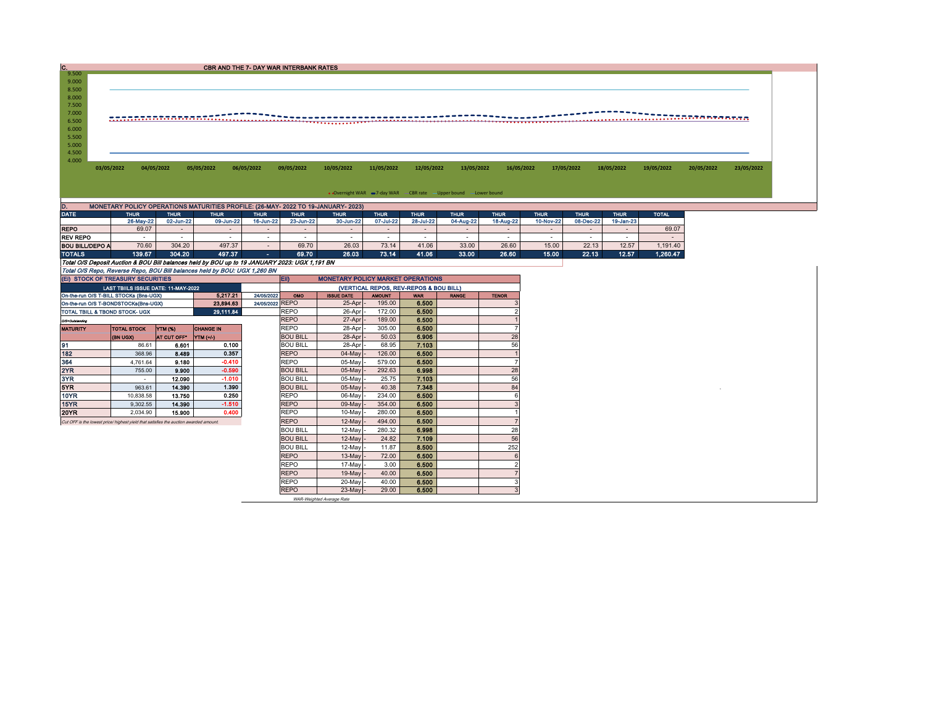| 9.500<br>9.000<br>8.500<br>8.000<br>7.500<br>7.000<br>6.500<br>6.000<br>5.500<br>5.000<br>4.500<br>4.000<br>03/05/2022<br>04/05/2022<br>05/05/2022<br>06/05/2022<br>09/05/2022<br>10/05/2022<br>11/05/2022<br>12/05/2022<br>13/05/2022<br>16/05/2022<br>17/05/2022<br>18/05/2022<br>19/05/2022<br>. Overnight WAR =7-day WAR CBR rate -Upper bound -Lower bound | 20/05/2022<br>23/05/2022 |
|-----------------------------------------------------------------------------------------------------------------------------------------------------------------------------------------------------------------------------------------------------------------------------------------------------------------------------------------------------------------|--------------------------|
|                                                                                                                                                                                                                                                                                                                                                                 |                          |
|                                                                                                                                                                                                                                                                                                                                                                 |                          |
|                                                                                                                                                                                                                                                                                                                                                                 |                          |
|                                                                                                                                                                                                                                                                                                                                                                 |                          |
|                                                                                                                                                                                                                                                                                                                                                                 |                          |
|                                                                                                                                                                                                                                                                                                                                                                 |                          |
|                                                                                                                                                                                                                                                                                                                                                                 |                          |
|                                                                                                                                                                                                                                                                                                                                                                 |                          |
|                                                                                                                                                                                                                                                                                                                                                                 |                          |
|                                                                                                                                                                                                                                                                                                                                                                 |                          |
|                                                                                                                                                                                                                                                                                                                                                                 |                          |
|                                                                                                                                                                                                                                                                                                                                                                 |                          |
|                                                                                                                                                                                                                                                                                                                                                                 |                          |
|                                                                                                                                                                                                                                                                                                                                                                 |                          |
|                                                                                                                                                                                                                                                                                                                                                                 |                          |
| MONETARY POLICY OPERATIONS MATURITIES PROFILE: (26-MAY- 2022 TO 19-JANUARY- 2023)                                                                                                                                                                                                                                                                               |                          |
| D.<br><b>DATE</b><br><b>THUR</b><br><b>THUR</b><br><b>THUR</b><br><b>THUR</b><br><b>THUR</b><br><b>THUR</b><br><b>THUR</b><br><b>THUR</b><br><b>THUR</b><br><b>TOTAL</b><br><b>THUR</b><br><b>THUR</b><br><b>THUR</b><br><b>THUR</b>                                                                                                                            |                          |
| 09-Jun-22<br>16-Jun-22<br>28-Jul-22<br>04-Aug-22<br>18-Aug-22<br>10-Nov-22<br>08-Dec-22<br>19-Jan-23<br>26-May-22<br>02-Jun-22<br>23-Jun-22<br>30-Jun-22<br>07-Jul-22                                                                                                                                                                                           |                          |
| 69.07<br>69.07<br><b>REPO</b><br>$\sim$<br>$\sim$<br>$\overline{\phantom{a}}$<br>$\overline{\phantom{a}}$<br>$\overline{\phantom{a}}$<br>$\overline{\phantom{a}}$<br>$\sim$                                                                                                                                                                                     |                          |
| <b>REV REPO</b><br>$\sim$<br>$\sim$<br>$\sim$<br>$\sim$<br>$\sim$<br>$\sim$<br>$\sim$<br>$\sim$<br>$\sim$<br>$\sim$<br>$\sim$<br>$\sim$<br>$\sim$<br>$\sim$                                                                                                                                                                                                     |                          |
| 70.60<br>304.20<br>497.37<br>69.70<br>26.03<br>73.14<br>41.06<br>33.00<br>26.60<br>15.00<br>22.13<br>12.57<br><b>BOU BILL/DEPO A</b><br>1,191.40<br>$\sim$                                                                                                                                                                                                      |                          |
| <b>TOTALS</b><br>139.67<br>497.37<br>69.70<br>15.00<br>12.57<br>1.260.47<br>304.20<br>26.03<br>73.14<br>41.06<br>33.00<br>26.60<br>22.13<br><b>Service</b>                                                                                                                                                                                                      |                          |
| Total O/S Deposit Auction & BOU Bill balances held by BOU up to 19 JANUARY 2023: UGX 1,191 BN                                                                                                                                                                                                                                                                   |                          |
| Total O/S Repo, Reverse Repo, BOU Bill balances held by BOU: UGX 1,260 BN                                                                                                                                                                                                                                                                                       |                          |
| <b>MONETARY POLICY MARKET OPERATIONS</b><br>(EI) STOCK OF TREASURY SECURITIES<br>EID                                                                                                                                                                                                                                                                            |                          |
| (VERTICAL REPOS, REV-REPOS & BOU BILL)<br>LAST TBIILS ISSUE DATE: 11-MAY-2022                                                                                                                                                                                                                                                                                   |                          |
| 24/05/2022<br>On-the-run O/S T-BILL STOCKs (Bns-UGX)<br>5.217.21<br>OMO<br><b>ISSUE DATE</b><br><b>AMOUNT</b><br><b>WAR</b><br><b>RANGE</b><br><b>TENOR</b>                                                                                                                                                                                                     |                          |
| 24/05/2022 REPO<br>195.00<br>6.500<br>25-Apr<br>23.894.63<br>On-the-run O/S T-BONDSTOCKs(Bns-UGX)                                                                                                                                                                                                                                                               |                          |
| 6.500<br><b>REPO</b><br>172.00<br>29,111.84<br>26-Apr<br><b>TOTAL TBILL &amp; TBOND STOCK- UGX</b>                                                                                                                                                                                                                                                              |                          |
| <b>REPO</b><br>189.00<br>6.500<br>27-Apr<br>O/S=Outstanding                                                                                                                                                                                                                                                                                                     |                          |
| <b>REPO</b><br>305.00<br>6.500<br>28-Apr<br><b>YTM (%)</b><br><b>TOTAL STOCK</b><br><b>CHANGE IN</b><br><b>MATURITY</b>                                                                                                                                                                                                                                         |                          |
| <b>BOU BILL</b><br>50.03<br>6,906<br>28<br>28-Apr<br>AT CUT OFF*<br>YTM (+/-)<br>(BN UGX)                                                                                                                                                                                                                                                                       |                          |
| 91<br>56<br>0.100<br><b>BOU BILL</b><br>28-Apr<br>68.95<br>7.103<br>86.61<br>6.601                                                                                                                                                                                                                                                                              |                          |
| 182<br>0.357<br>6.500<br>126.00<br>8.489<br><b>REPO</b><br>$04$ -May $-$<br>368.96                                                                                                                                                                                                                                                                              |                          |

364 4,761.64 9.180 -0.410 REPO 05-May - 579.00 6.500 7 2YR 755.00 9.900 -0.590 BOU BILL 05-May - 292.63 6.998 28 3YR - 12.090 -1.010 BOU BILL 05-May - 25.75 7.103 56 5YR 963.61 14.390 1.390 BOU BILL 05-May - 40.38 7.348 84 <sup>0</sup> 10YR | 10,838.58 | **13.750 | 0.250 | |**REPO | 06-May |- 234.00 **| 6.500 |** 6 15YR 9,302.55 14.390 -1.510 REPO 09-May - 354.00 6.500 3 1 200 20 1 2,034.90 1 2,034.90 1 2,034.90 1 2,034.90 1 2.000 1 2.000 1 2.000 1 2.000 1 2.000 1 2.000 1 2.000 1<br>Cut OFF is the lowest price/ highest yield that satisfies the auction awarded amount. REPO 1 2-May - 494.00 1 800 BILL 12-May - 280.32 6.998 28<br>BOU BILL 12-May - 24.82 7.109 56 BOU BILL 12-May - 24.82 7.109 56 BOU BILL 12-May - 11.87 8.500 252 REPO 13-May - 72.00 6.500 REPO 17-May - 3.00 6.500<br>REPO 19-May - 40.00 6.500 REPO | 19-May |- 40.00 | **6.500** | 7

REPO 20-May 40.00 6.500<br>REPO 23-May 29.00 6.500 REPO | 23-May |- 29.00 | 6.500 | 3 WAR-Weighted Average Rate